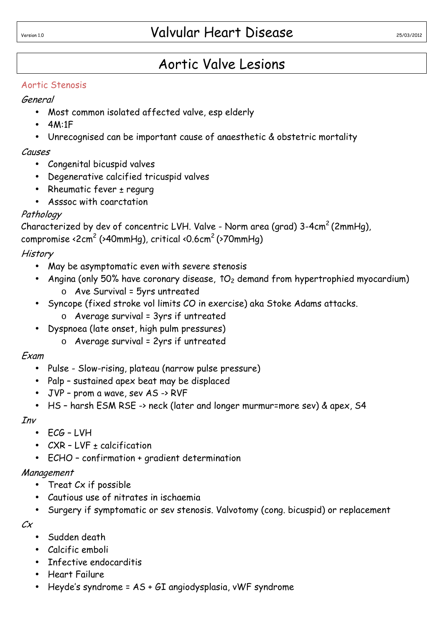# Aortic Valve Lesions

#### Aortic Stenosis

## General

- Most common isolated affected valve, esp elderly
- 4M:1F
- Unrecognised can be important cause of anaesthetic & obstetric mortality

#### Causes

- Congenital bicuspid valves
- Degenerative calcified tricuspid valves
- Rheumatic fever  $\pm$  regurg
- Asssoc with coarctation

## Pathology

Characterized by dev of concentric LVH. Valve - Norm area (grad)  $3-4cm^2$  (2mmHg), compromise <2cm<sup>2</sup> (>40mmHg), critical <0.6cm<sup>2</sup>(>70mmHg)

# **History**

- May be asymptomatic even with severe stenosis
- Angina (only 50% have coronary disease,  $\hat{O}_2$  demand from hypertrophied myocardium) o Ave Survival = 5yrs untreated
- Syncope (fixed stroke vol limits CO in exercise) aka Stoke Adams attacks.
	- $\circ$  Average survival = 3yrs if untreated
- Dyspnoea (late onset, high pulm pressures)
	- $o$  Average survival = 2yrs if untreated

#### Exam

- Pulse Slow-rising, plateau (narrow pulse pressure)
- Palp sustained apex beat may be displaced
- JVP prom a wave, sev AS -> RVF
- HS harsh ESM RSE -> neck (later and longer murmur=more sev) & apex, S4

#### Inv

- ECG LVH
- CXR LVF + calcification
- ECHO confirmation + gradient determination

#### Management

- Treat Cx if possible
- Cautious use of nitrates in ischaemia
- Surgery if symptomatic or sev stenosis. Valvotomy (cong. bicuspid) or replacement

 $C_X$ 

- Sudden death
- Calcific emboli
- Infective endocarditis
- Heart Failure
- Heyde's syndrome = AS + GI angiodysplasia, vWF syndrome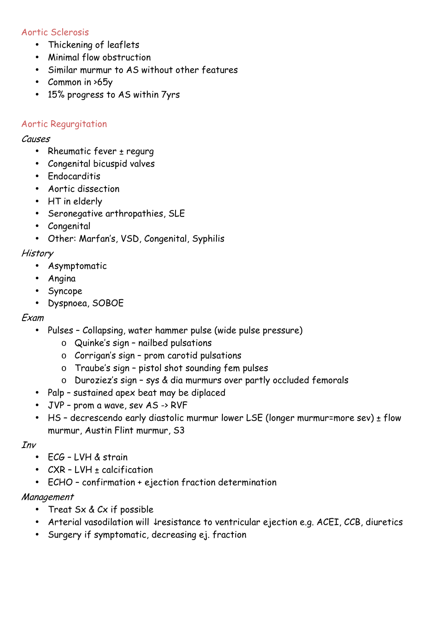#### Aortic Sclerosis

- Thickening of leaflets
- Minimal flow obstruction
- Similar murmur to AS without other features
- Common in >65y
- 15% progress to AS within 7yrs

#### Aortic Regurgitation

#### Causes

- Rheumatic fever ± regurg
- Congenital bicuspid valves
- Endocarditis
- Aortic dissection
- HT in elderly
- Seronegative arthropathies, SLE
- Congenital
- Other: Marfan's, VSD, Congenital, Syphilis

#### **History**

- Asymptomatic
- Angina
- Syncope
- Dyspnoea, SOBOE

#### Exam

- Pulses Collapsing, water hammer pulse (wide pulse pressure)
	- o Quinke's sign nailbed pulsations
	- o Corrigan's sign prom carotid pulsations
	- o Traube's sign pistol shot sounding fem pulses
	- o Duroziez's sign sys & dia murmurs over partly occluded femorals
- Palp sustained apex beat may be diplaced
- JVP prom a wave, sev AS -> RVF
- HS decrescendo early diastolic murmur lower LSE (longer murmur=more sev) ± flow murmur, Austin Flint murmur, S3

#### Inv

- ECG LVH & strain
- $CXR$   $LVH$  + calcification
- ECHO confirmation + ejection fraction determination

#### Management

- Treat Sx & Cx if possible
- Arterial vasodilation will ↓resistance to ventricular ejection e.g. ACEI, CCB, diuretics
- Surgery if symptomatic, decreasing ej. fraction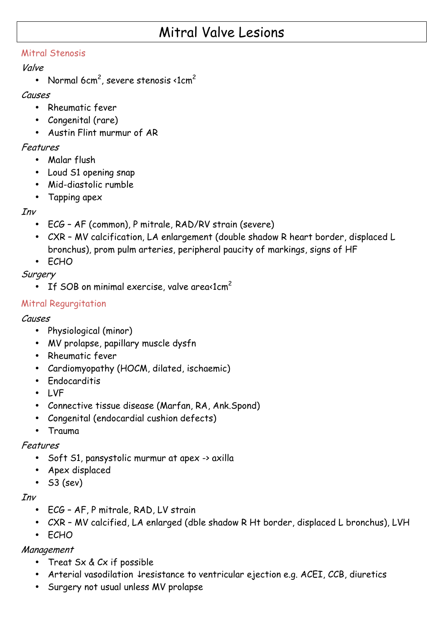# Mitral Valve Lesions

#### Mitral Stenosis

#### Valve

• Normal 6 $\mathsf{cm}^2$ , severe stenosis <1 $\mathsf{cm}^2$ 

#### Causes

- Rheumatic fever
- Congenital (rare)
- Austin Flint murmur of AR

#### Features

- Malar flush
- Loud S1 opening snap
- Mid-diastolic rumble
- Tapping apex

## Inv

- ECG AF (common), P mitrale, RAD/RV strain (severe)
- CXR MV calcification, LA enlargement (double shadow R heart border, displaced L bronchus), prom pulm arteries, peripheral paucity of markings, signs of HF
- ECHO

## **Surgery**

• If SOB on minimal exercise, valve area $\Omega$ cm<sup>2</sup>

# Mitral Regurgitation

## Causes

- Physiological (minor)
- MV prolapse, papillary muscle dysfn
- Rheumatic fever
- Cardiomyopathy (HOCM, dilated, ischaemic)
- Endocarditis
- LVF
- Connective tissue disease (Marfan, RA, Ank.Spond)
- Congenital (endocardial cushion defects)
- Trauma

#### Features

- Soft S1, pansystolic murmur at apex -> axilla
- Apex displaced
- $\bullet$  S3 (sev)

#### Inv

- ECG AF, P mitrale, RAD, LV strain
- CXR MV calcified, LA enlarged (dble shadow R Ht border, displaced L bronchus), LVH
- ECHO

#### Management

- Treat Sx & Cx if possible
- Arterial vasodilation ↓resistance to ventricular ejection e.g. ACEI, CCB, diuretics
- Surgery not usual unless MV prolapse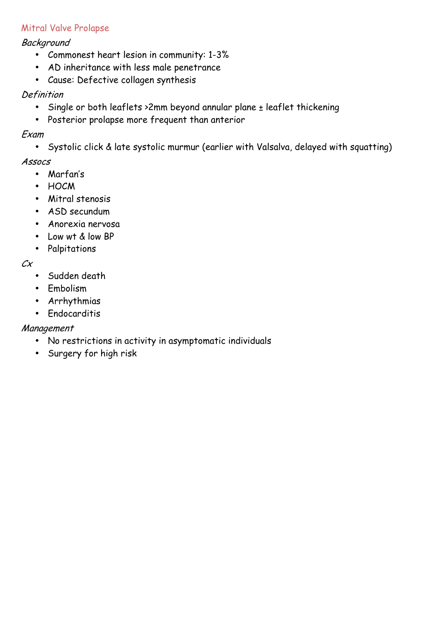## Mitral Valve Prolapse

#### Background

- Commonest heart lesion in community: 1-3%
- AD inheritance with less male penetrance
- Cause: Defective collagen synthesis

## **Definition**

- Single or both leaflets > 2mm beyond annular plane ± leaflet thickening
- Posterior prolapse more frequent than anterior

## Exam

• Systolic click & late systolic murmur (earlier with Valsalva, delayed with squatting)

## Assocs

- Marfan's
- HOCM
- Mitral stenosis
- ASD secundum
- Anorexia nervosa
- Low wt & low BP
- Palpitations

#### Cx

- Sudden death
- Embolism
- Arrhythmias
- Endocarditis

# Management

- No restrictions in activity in asymptomatic individuals
- Surgery for high risk